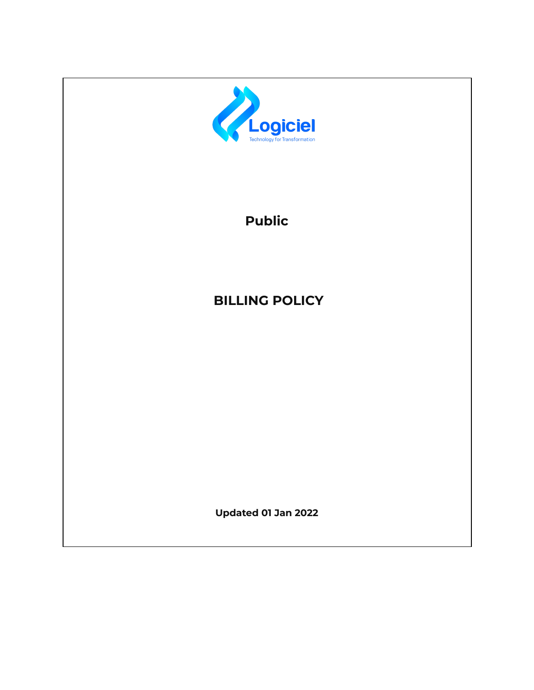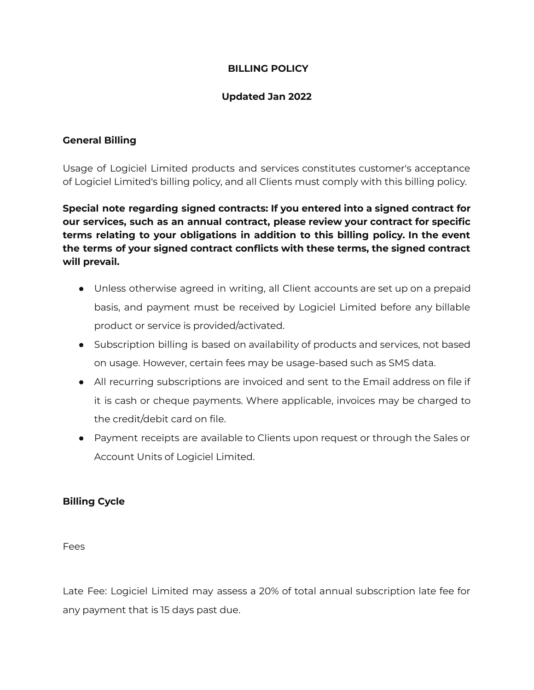# **BILLING POLICY**

## **Updated Jan 2022**

# **General Billing**

Usage of Logiciel Limited products and services constitutes customer's acceptance of Logiciel Limited's billing policy, and all Clients must comply with this billing policy.

**Special note regarding signed contracts: If you entered into a signed contract for our services, such as an annual contract, please review your contract for specific terms relating to your obligations in addition to this billing policy. In the event the terms of your signed contract conflicts with these terms, the signed contract will prevail.**

- Unless otherwise agreed in writing, all Client accounts are set up on a prepaid basis, and payment must be received by Logiciel Limited before any billable product or service is provided/activated.
- Subscription billing is based on availability of products and services, not based on usage. However, certain fees may be usage-based such as SMS data.
- All recurring subscriptions are invoiced and sent to the Email address on file if it is cash or cheque payments. Where applicable, invoices may be charged to the credit/debit card on file.
- Payment receipts are available to Clients upon request or through the Sales or Account Units of Logiciel Limited.

### **Billing Cycle**

Fees

Late Fee: Logiciel Limited may assess a 20% of total annual subscription late fee for any payment that is 15 days past due.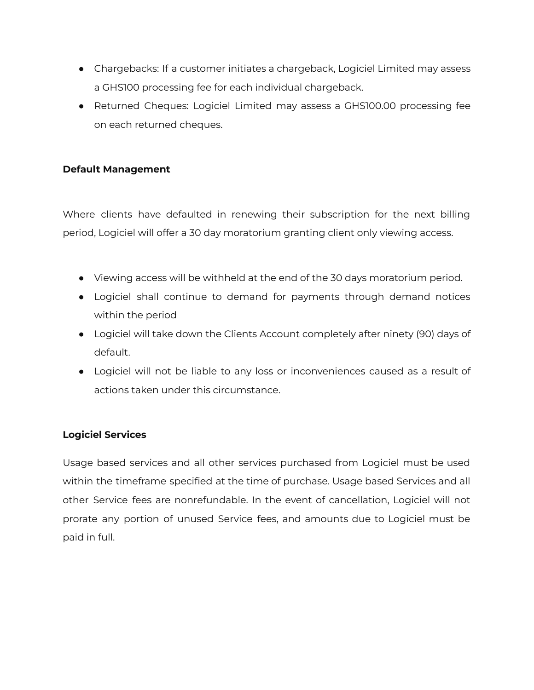- Chargebacks: If a customer initiates a chargeback, Logiciel Limited may assess a GHS100 processing fee for each individual chargeback.
- Returned Cheques: Logiciel Limited may assess a GHS100.00 processing fee on each returned cheques.

# **Default Management**

Where clients have defaulted in renewing their subscription for the next billing period, Logiciel will offer a 30 day moratorium granting client only viewing access.

- Viewing access will be withheld at the end of the 30 days moratorium period.
- Logiciel shall continue to demand for payments through demand notices within the period
- Logiciel will take down the Clients Account completely after ninety (90) days of default.
- Logiciel will not be liable to any loss or inconveniences caused as a result of actions taken under this circumstance.

# **Logiciel Services**

Usage based services and all other services purchased from Logiciel must be used within the timeframe specified at the time of purchase. Usage based Services and all other Service fees are nonrefundable. In the event of cancellation, Logiciel will not prorate any portion of unused Service fees, and amounts due to Logiciel must be paid in full.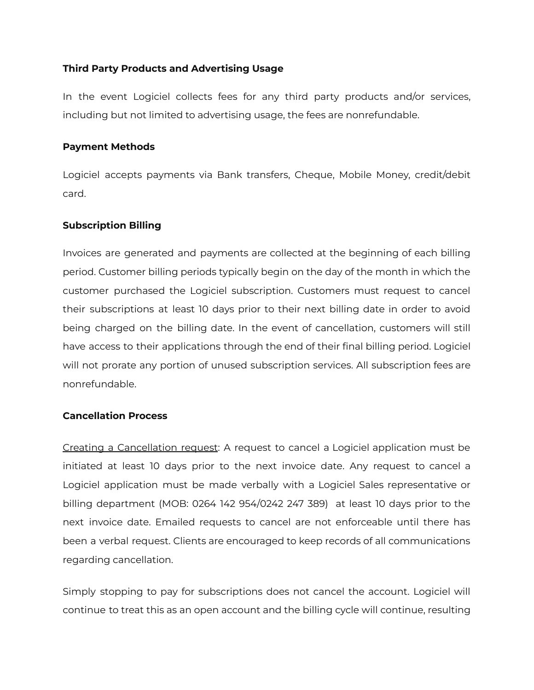## **Third Party Products and Advertising Usage**

In the event Logiciel collects fees for any third party products and/or services, including but not limited to advertising usage, the fees are nonrefundable.

### **Payment Methods**

Logiciel accepts payments via Bank transfers, Cheque, Mobile Money, credit/debit card.

### **Subscription Billing**

Invoices are generated and payments are collected at the beginning of each billing period. Customer billing periods typically begin on the day of the month in which the customer purchased the Logiciel subscription. Customers must request to cancel their subscriptions at least 10 days prior to their next billing date in order to avoid being charged on the billing date. In the event of cancellation, customers will still have access to their applications through the end of their final billing period. Logiciel will not prorate any portion of unused subscription services. All subscription fees are nonrefundable.

### **Cancellation Process**

Creating a Cancellation request: A request to cancel a Logiciel application must be initiated at least 10 days prior to the next invoice date. Any request to cancel a Logiciel application must be made verbally with a Logiciel Sales representative or billing department (MOB: 0264 142 954/0242 247 389) at least 10 days prior to the next invoice date. Emailed requests to cancel are not enforceable until there has been a verbal request. Clients are encouraged to keep records of all communications regarding cancellation.

Simply stopping to pay for subscriptions does not cancel the account. Logiciel will continue to treat this as an open account and the billing cycle will continue, resulting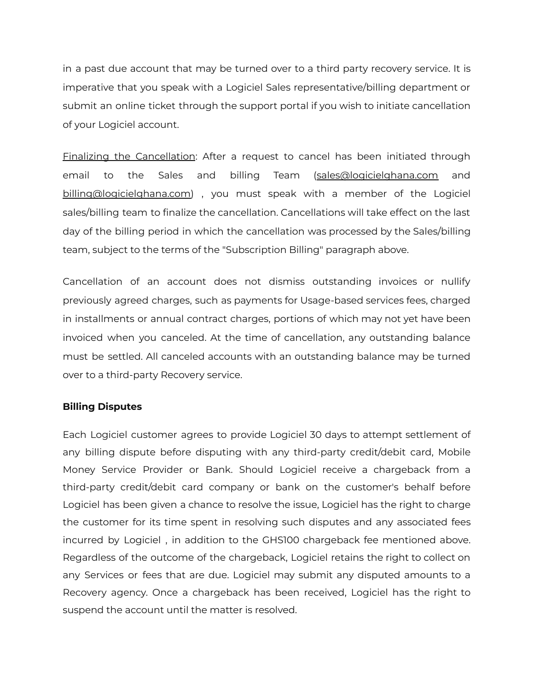in a past due account that may be turned over to a third party recovery service. It is imperative that you speak with a Logiciel Sales representative/billing department or submit an online ticket through the support portal if you wish to initiate cancellation of your Logiciel account.

Finalizing the Cancellation: After a request to cancel has been initiated through email to the Sales and billing Team [\(sales@logicielghana.com](mailto:sales@logicielghana.com) and [billing@logicielghana.com\)](mailto:billing@logicielghana.com) , you must speak with a member of the Logiciel sales/billing team to finalize the cancellation. Cancellations will take effect on the last day of the billing period in which the cancellation was processed by the Sales/billing team, subject to the terms of the "Subscription Billing" paragraph above.

Cancellation of an account does not dismiss outstanding invoices or nullify previously agreed charges, such as payments for Usage-based services fees, charged in installments or annual contract charges, portions of which may not yet have been invoiced when you canceled. At the time of cancellation, any outstanding balance must be settled. All canceled accounts with an outstanding balance may be turned over to a third-party Recovery service.

### **Billing Disputes**

Each Logiciel customer agrees to provide Logiciel 30 days to attempt settlement of any billing dispute before disputing with any third-party credit/debit card, Mobile Money Service Provider or Bank. Should Logiciel receive a chargeback from a third-party credit/debit card company or bank on the customer's behalf before Logiciel has been given a chance to resolve the issue, Logiciel has the right to charge the customer for its time spent in resolving such disputes and any associated fees incurred by Logiciel , in addition to the GHS100 chargeback fee mentioned above. Regardless of the outcome of the chargeback, Logiciel retains the right to collect on any Services or fees that are due. Logiciel may submit any disputed amounts to a Recovery agency. Once a chargeback has been received, Logiciel has the right to suspend the account until the matter is resolved.